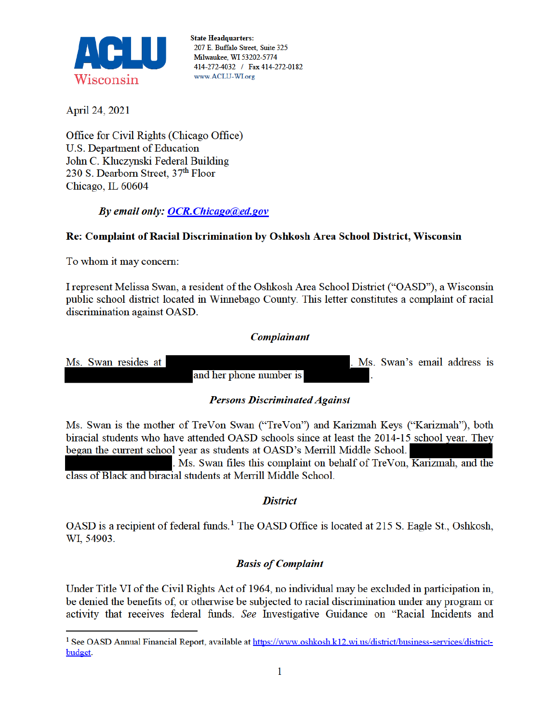

**State Headquarters:** 207 E. Buffalo Street, Suite 325 Milwaukee, WI 53202-5774 414-272-4032 / Fax 414-272-0182 www.ACLU-WI.org

April 24, 2021

Office for Civil Rights (Chicago Office) **U.S. Department of Education** John C. Kluczynski Federal Building 230 S. Dearborn Street, 37th Floor Chicago, IL 60604

By email only: OCR. Chicago@ed.gov

# Re: Complaint of Racial Discrimination by Oshkosh Area School District, Wisconsin

To whom it may concern:

I represent Melissa Swan, a resident of the Oshkosh Area School District ("OASD"), a Wisconsin public school district located in Winnebago County. This letter constitutes a complaint of racial discrimination against OASD.

### **Complainant**



### **Persons Discriminated Against**

Ms. Swan is the mother of TreVon Swan ("TreVon") and Karizmah Keys ("Karizmah"), both biracial students who have attended OASD schools since at least the 2014-15 school year. They began the current school year as students at OASD's Merrill Middle School.

Ms. Swan files this complaint on behalf of TreVon, Karizmah, and the class of Black and biracial students at Merrill Middle School.

### **District**

OASD is a recipient of federal funds.<sup>1</sup> The OASD Office is located at 215 S. Eagle St., Oshkosh, WI, 54903.

### **Basis of Complaint**

Under Title VI of the Civil Rights Act of 1964, no individual may be excluded in participation in, be denied the benefits of, or otherwise be subjected to racial discrimination under any program or activity that receives federal funds. See Investigative Guidance on "Racial Incidents and

<sup>&</sup>lt;sup>1</sup> See OASD Annual Financial Report, available at https://www.oshkosh.k12.wi.us/district/business-services/districtbudget.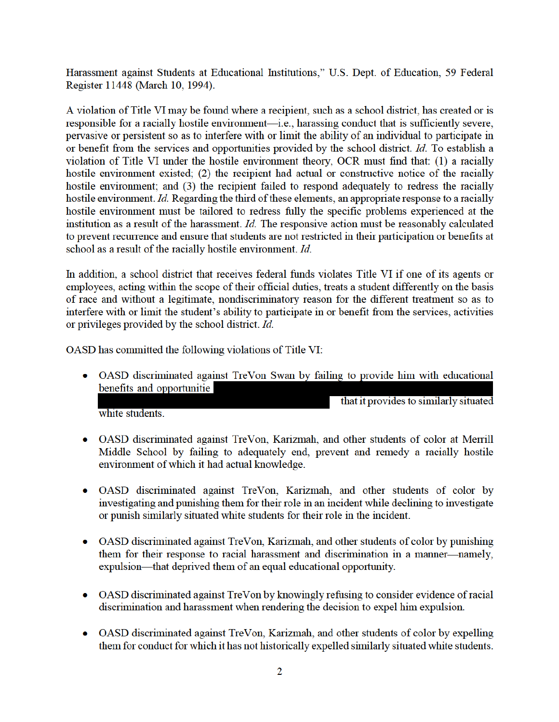Harassment against Students at Educational Institutions," U.S. Dept. of Education, 59 Federal Register 11448 (March 10, 1994).

A violation of Title VI may be found where a recipient, such as a school district, has created or is responsible for a racially hostile environment—i.e., harassing conduct that is sufficiently severe, pervasive or persistent so as to interfere with or limit the ability of an individual to participate in or benefit from the services and opportunities provided by the school district. Id. To establish a violation of Title VI under the hostile environment theory, OCR must find that: (1) a racially hostile environment existed; (2) the recipient had actual or constructive notice of the racially hostile environment; and (3) the recipient failed to respond adequately to redress the racially hostile environment. Id. Regarding the third of these elements, an appropriate response to a racially hostile environment must be tailored to redress fully the specific problems experienced at the institution as a result of the harassment. *Id*. The responsive action must be reasonably calculated to prevent recurrence and ensure that students are not restricted in their participation or benefits at school as a result of the racially hostile environment. Id.

In addition, a school district that receives federal funds violates Title VI if one of its agents or employees, acting within the scope of their official duties, treats a student differently on the basis of race and without a legitimate, nondiscriminatory reason for the different treatment so as to interfere with or limit the student's ability to participate in or benefit from the services, activities or privileges provided by the school district. Id.

OASD has committed the following violations of Title VI:

• OASD discriminated against TreVon Swan by failing to provide him with educational benefits and opportunitie that it provides to similarly situated

white students.

- OASD discriminated against TreVon, Karizmah, and other students of color at Merrill Middle School by failing to adequately end, prevent and remedy a racially hostile environment of which it had actual knowledge.
- OASD discriminated against TreVon, Karizmah, and other students of color by investigating and punishing them for their role in an incident while declining to investigate or punish similarly situated white students for their role in the incident.
- OASD discriminated against TreVon, Karizmah, and other students of color by punishing them for their response to racial harassment and discrimination in a manner-namely, expulsion—that deprived them of an equal educational opportunity.
- OASD discriminated against TreVon by knowingly refusing to consider evidence of racial discrimination and harassment when rendering the decision to expel him expulsion.
- OASD discriminated against TreVon, Karizmah, and other students of color by expelling them for conduct for which it has not historically expelled similarly situated white students.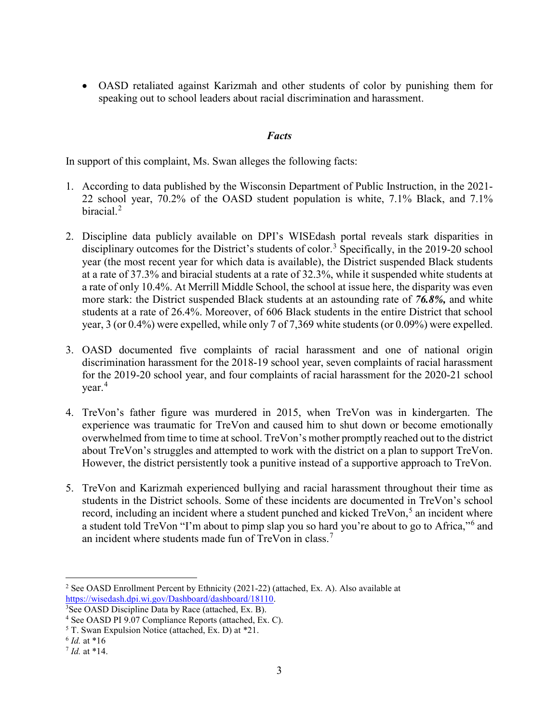• OASD retaliated against Karizmah and other students of color by punishing them for speaking out to school leaders about racial discrimination and harassment.

## *Facts*

In support of this complaint, Ms. Swan alleges the following facts:

- 1. According to data published by the Wisconsin Department of Public Instruction, in the 2021- 22 school year, 70.2% of the OASD student population is white, 7.1% Black, and 7.1% biracial.<sup>2</sup>
- 2. Discipline data publicly available on DPI's WISEdash portal reveals stark disparities in disciplinary outcomes for the District's students of color.<sup>3</sup> Specifically, in the 2019-20 school year (the most recent year for which data is available), the District suspended Black students at a rate of 37.3% and biracial students at a rate of 32.3%, while it suspended white students at a rate of only 10.4%. At Merrill Middle School, the school at issue here, the disparity was even more stark: the District suspended Black students at an astounding rate of *76.8%,* and white students at a rate of 26.4%. Moreover, of 606 Black students in the entire District that school year, 3 (or 0.4%) were expelled, while only 7 of 7,369 white students (or 0.09%) were expelled.
- 3. OASD documented five complaints of racial harassment and one of national origin discrimination harassment for the 2018-19 school year, seven complaints of racial harassment for the 2019-20 school year, and four complaints of racial harassment for the 2020-21 school  $\mathrm{year.}^4$
- 4. TreVon's father figure was murdered in 2015, when TreVon was in kindergarten. The experience was traumatic for TreVon and caused him to shut down or become emotionally overwhelmed from time to time at school. TreVon's mother promptly reached out to the district about TreVon's struggles and attempted to work with the district on a plan to support TreVon. However, the district persistently took a punitive instead of a supportive approach to TreVon.
- 5. TreVon and Karizmah experienced bullying and racial harassment throughout their time as students in the District schools. Some of these incidents are documented in TreVon's school record, including an incident where a student punched and kicked TreVon,<sup>5</sup> an incident where a student told TreVon "I'm about to pimp slap you so hard you're about to go to Africa,"<sup>6</sup> and an incident where students made fun of TreVon in class.<sup>7</sup>

 $\overline{a}$ <sup>2</sup> See OASD Enrollment Percent by Ethnicity (2021-22) (attached, Ex. A). Also available at https://wisedash.dpi.wi.gov/Dashboard/dashboard/18110. 3

 $3$ See OASD Discipline Data by Race (attached, Ex. B).

<sup>4</sup> See OASD PI 9.07 Compliance Reports (attached, Ex. C).

<sup>5</sup> T. Swan Expulsion Notice (attached, Ex. D) at \*21.

<sup>6</sup> *Id.* at \*16

<sup>7</sup> *Id.* at \*14.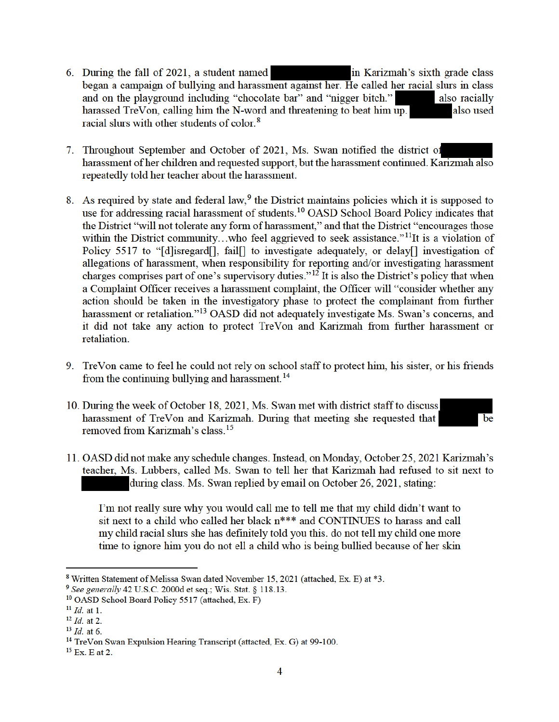- 6. During the fall of 2021, a student named in Karizmah's sixth grade class began a campaign of bullying and harassment against her. He called her racial slurs in class and on the playground including "chocolate bar" and "nigger bitch." also racially harassed TreVon, calling him the N-word and threatening to beat him up. also used racial slurs with other students of color.<sup>8</sup>
- 7. Throughout September and October of 2021, Ms. Swan notified the district of harassment of her children and requested support, but the harassment continued. Karizmah also repeatedly told her teacher about the harassment.
- 8. As required by state and federal law, <sup>9</sup> the District maintains policies which it is supposed to use for addressing racial harassment of students.<sup>10</sup> OASD School Board Policy indicates that the District "will not tolerate any form of harassment," and that the District "encourages those within the District community...who feel aggrieved to seek assistance."<sup>11</sup>It is a violation of Policy 5517 to "[d] is regard [], fail[] to investigate adequately, or delay [] investigation of allegations of harassment, when responsibility for reporting and/or investigating harassment charges comprises part of one's supervisory duties."<sup>12</sup> It is also the District's policy that when a Complaint Officer receives a harassment complaint, the Officer will "consider whether any action should be taken in the investigatory phase to protect the complainant from further harassment or retaliation."<sup>13</sup> OASD did not adequately investigate Ms. Swan's concerns, and it did not take any action to protect TreVon and Karizmah from further harassment or retaliation.
- 9. TreVon came to feel he could not rely on school staff to protect him, his sister, or his friends from the continuing bullying and harassment.<sup>14</sup>
- 10. During the week of October 18, 2021, Ms. Swan met with district staff to discuss harassment of TreVon and Karizmah. During that meeting she requested that removed from Karizmah's class.<sup>15</sup>
- be
- 11. OASD did not make any schedule changes. Instead, on Monday, October 25, 2021 Karizmah's teacher, Ms. Lubbers, called Ms. Swan to tell her that Karizmah had refused to sit next to during class. Ms. Swan replied by email on October 26, 2021, stating:

I'm not really sure why you would call me to tell me that my child didn't want to sit next to a child who called her black n\*\*\* and CONTINUES to harass and call my child racial slurs she has definitely told you this, do not tell my child one more time to ignore him you do not ell a child who is being bullied because of her skin

<sup>&</sup>lt;sup>8</sup> Written Statement of Melissa Swan dated November 15, 2021 (attached, Ex. E) at \*3.

<sup>&</sup>lt;sup>9</sup> See generally 42 U.S.C. 2000d et seq.; Wis. Stat. § 118.13.

<sup>&</sup>lt;sup>10</sup> OASD School Board Policy 5517 (attached, Ex. F)

 $^{11}$  *Id.* at 1.

 $12$  *Id.* at 2.

 $13$  *Id.* at 6.

<sup>&</sup>lt;sup>14</sup> TreVon Swan Expulsion Hearing Transcript (attacted, Ex. G) at 99-100.

 $15$  Ex. E at 2.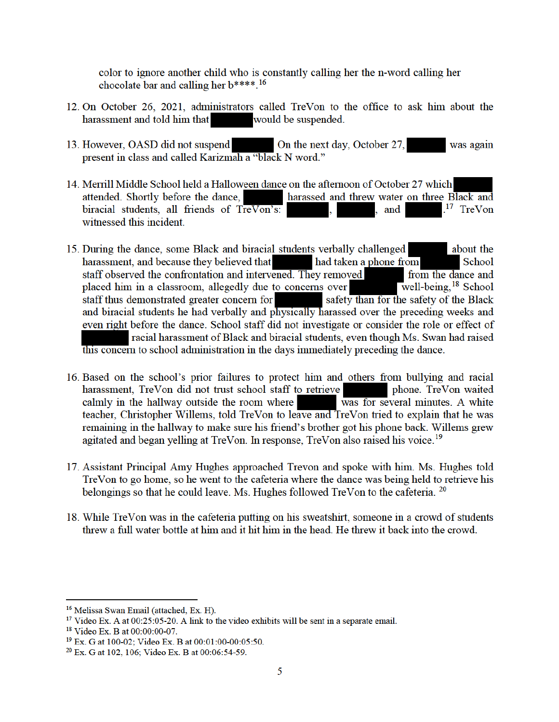color to ignore another child who is constantly calling her the n-word calling her chocolate bar and calling her b\*\*\*\*.<sup>16</sup>

- 12. On October 26, 2021, administrators called TreVon to the office to ask him about the harassment and told him that would be suspended.
- 13. However, OASD did not suspend On the next day, October 27, was again present in class and called Karizmah a "black N word."
- 14. Merrill Middle School held a Halloween dance on the afternoon of October 27 which attended. Shortly before the dance. harassed and threw water on three Black and <sup>17</sup> TreVon biracial students, all friends of TreVon's: , and witnessed this incident.
- 15. During the dance, some Black and biracial students verbally challenged about the harassment, and because they believed that had taken a phone from School staff observed the confrontation and intervened. They removed from the dance and placed him in a classroom, allegedly due to concerns over well-being,  $18$  School staff thus demonstrated greater concern for safety than for the safety of the Black and biracial students he had verbally and physically harassed over the preceding weeks and even right before the dance. School staff did not investigate or consider the role or effect of racial harassment of Black and biracial students, even though Ms. Swan had raised this concern to school administration in the days immediately preceding the dance.
- 16. Based on the school's prior failures to protect him and others from bullying and racial harassment, TreVon did not trust school staff to retrieve phone. TreVon waited calmly in the hallway outside the room where was for several minutes. A white teacher, Christopher Willems, told TreVon to leave and TreVon tried to explain that he was remaining in the hallway to make sure his friend's brother got his phone back. Willems grew agitated and began yelling at TreVon. In response, TreVon also raised his voice.<sup>19</sup>
- 17. Assistant Principal Amy Hughes approached Trevon and spoke with him. Ms. Hughes told TreVon to go home, so he went to the cafeteria where the dance was being held to retrieve his belongings so that he could leave. Ms. Hughes followed TreVon to the cafeteria. <sup>20</sup>
- 18. While TreVon was in the cafeteria putting on his sweatshirt, someone in a crowd of students threw a full water bottle at him and it hit him in the head. He threw it back into the crowd.

<sup>&</sup>lt;sup>16</sup> Melissa Swan Email (attached, Ex. H).

 $17$  Video Ex. A at 00:25:05-20. A link to the video exhibits will be sent in a separate email.

<sup>&</sup>lt;sup>18</sup> Video Ex. B at 00:00:00-07.

<sup>&</sup>lt;sup>19</sup> Ex. G at 100-02; Video Ex. B at 00:01:00-00:05:50.

<sup>&</sup>lt;sup>20</sup> Ex. G at 102, 106; Video Ex. B at 00:06:54-59.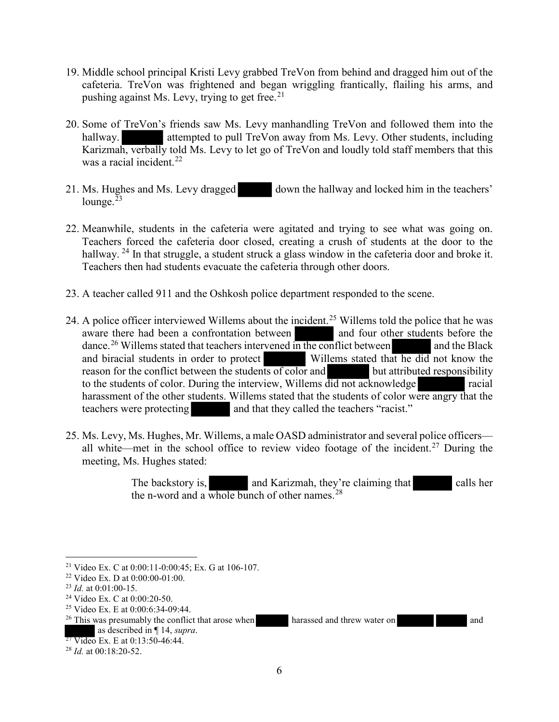- 19. Middle school principal Kristi Levy grabbed TreVon from behind and dragged him out of the cafeteria. TreVon was frightened and began wriggling frantically, flailing his arms, and pushing against Ms. Levy, trying to get free.<sup>21</sup>
- 20. Some of TreVon's friends saw Ms. Levy manhandling TreVon and followed them into the hallway. **attempted to pull TreVon away from Ms. Levy. Other students, including** Karizmah, verbally told Ms. Levy to let go of TreVon and loudly told staff members that this was a racial incident. 22
- 21. Ms. Hughes and Ms. Levy dragged down the hallway and locked him in the teachers' lounge. $^{23}$
- 22. Meanwhile, students in the cafeteria were agitated and trying to see what was going on. Teachers forced the cafeteria door closed, creating a crush of students at the door to the hallway. <sup>24</sup> In that struggle, a student struck a glass window in the cafeteria door and broke it. Teachers then had students evacuate the cafeteria through other doors.
- 23. A teacher called 911 and the Oshkosh police department responded to the scene.
- 24. A police officer interviewed Willems about the incident.<sup>25</sup> Willems told the police that he was aware there had been a confrontation between and four other students before the dance.<sup>26</sup> Willems stated that teachers intervened in the conflict between and the Black and biracial students in order to protect Willems stated that he did not know the reason for the conflict between the students of color and but attributed responsibility to the students of color. During the interview, Willems did not acknowledge racial harassment of the other students. Willems stated that the students of color were angry that the teachers were protecting and that they called the teachers "racist."
- 25. Ms. Levy, Ms. Hughes, Mr. Willems, a male OASD administrator and several police officers all white—met in the school office to review video footage of the incident.<sup>27</sup> During the meeting, Ms. Hughes stated:

The backstory is, and Karizmah, they're claiming that calls her the n-word and a whole bunch of other names.<sup>28</sup>

 $\overline{a}$ 

<sup>21</sup> Video Ex. C at 0:00:11-0:00:45; Ex. G at 106-107.

<sup>22</sup> Video Ex. D at 0:00:00-01:00.

<sup>23</sup> *Id.* at 0:01:00-15.

<sup>24</sup> Video Ex. C at 0:00:20-50.

<sup>&</sup>lt;sup>25</sup> Video Ex. E at 0:00:6:34-09:44.

<sup>&</sup>lt;sup>26</sup> This was presumably the conflict that arose when harassed and threw water on and as described in  $\P$  14, *supra*.

 $\frac{37 \text{ Video}}{21}$  Ex. E at 0:13:50-46:44.

<sup>28</sup> *Id.* at 00:18:20-52.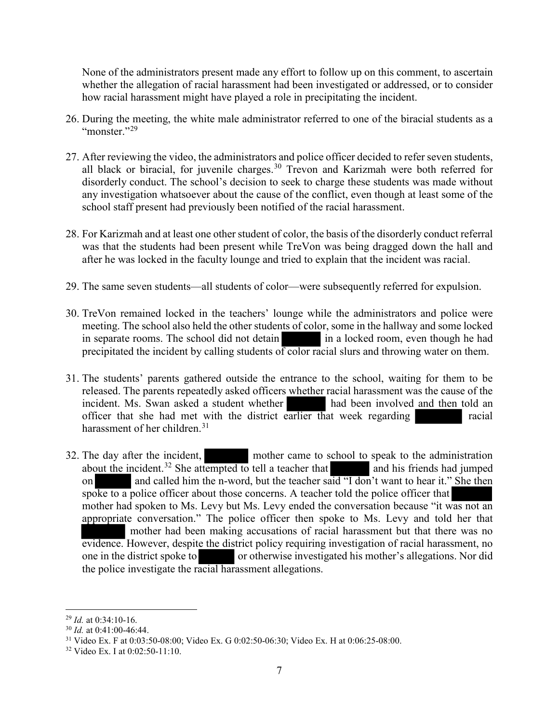None of the administrators present made any effort to follow up on this comment, to ascertain whether the allegation of racial harassment had been investigated or addressed, or to consider how racial harassment might have played a role in precipitating the incident.

- 26. During the meeting, the white male administrator referred to one of the biracial students as a "monster."<sup>29</sup>
- 27. After reviewing the video, the administrators and police officer decided to refer seven students, all black or biracial, for juvenile charges.<sup>30</sup> Trevon and Karizmah were both referred for disorderly conduct. The school's decision to seek to charge these students was made without any investigation whatsoever about the cause of the conflict, even though at least some of the school staff present had previously been notified of the racial harassment.
- 28. For Karizmah and at least one other student of color, the basis of the disorderly conduct referral was that the students had been present while TreVon was being dragged down the hall and after he was locked in the faculty lounge and tried to explain that the incident was racial.
- 29. The same seven students—all students of color—were subsequently referred for expulsion.
- 30. TreVon remained locked in the teachers' lounge while the administrators and police were meeting. The school also held the other students of color, some in the hallway and some locked in separate rooms. The school did not detain in a locked room, even though he had precipitated the incident by calling students of color racial slurs and throwing water on them.
- 31. The students' parents gathered outside the entrance to the school, waiting for them to be released. The parents repeatedly asked officers whether racial harassment was the cause of the incident. Ms. Swan asked a student whether had been involved and then told an officer that she had met with the district earlier that week regarding racial harassment of her children.<sup>31</sup>
- 32. The day after the incident, mother came to school to speak to the administration about the incident.<sup>32</sup> She attempted to tell a teacher that and his friends had jumped on and called him the n-word, but the teacher said "I don't want to hear it." She then spoke to a police officer about those concerns. A teacher told the police officer that mother had spoken to Ms. Levy but Ms. Levy ended the conversation because "it was not an appropriate conversation." The police officer then spoke to Ms. Levy and told her that mother had been making accusations of racial harassment but that there was no evidence. However, despite the district policy requiring investigation of racial harassment, no one in the district spoke to or otherwise investigated his mother's allegations. Nor did the police investigate the racial harassment allegations.

 $\overline{a}$ <sup>29</sup> *Id.* at 0:34:10-16.

<sup>30</sup> *Id.* at 0:41:00-46:44.

<sup>31</sup> Video Ex. F at 0:03:50-08:00; Video Ex. G 0:02:50-06:30; Video Ex. H at 0:06:25-08:00.

<sup>32</sup> Video Ex. I at 0:02:50-11:10.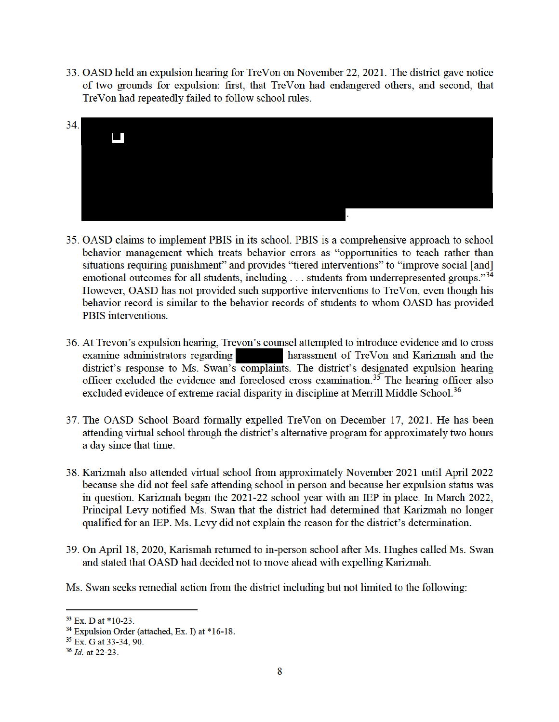33. OASD held an expulsion hearing for TreVon on November 22, 2021. The district gave notice of two grounds for expulsion: first, that TreVon had endangered others, and second, that TreVon had repeatedly failed to follow school rules.



- 35. OASD claims to implement PBIS in its school. PBIS is a comprehensive approach to school behavior management which treats behavior errors as "opportunities to teach rather than situations requiring punishment" and provides "tiered interventions" to "improve social [and] emotional outcomes for all students, including . . . students from underrepresented groups."34 However, OASD has not provided such supportive interventions to TreVon, even though his behavior record is similar to the behavior records of students to whom OASD has provided PBIS interventions.
- 36. At Trevon's expulsion hearing, Trevon's counsel attempted to introduce evidence and to cross examine administrators regarding harassment of TreVon and Karizmah and the district's response to Ms. Swan's complaints. The district's designated expulsion hearing officer excluded the evidence and foreclosed cross examination.<sup>35</sup> The hearing officer also excluded evidence of extreme racial disparity in discipline at Merrill Middle School.<sup>36</sup>
- 37. The OASD School Board formally expelled TreVon on December 17, 2021. He has been attending virtual school through the district's alternative program for approximately two hours a day since that time.
- 38. Karizmah also attended virtual school from approximately November 2021 until April 2022 because she did not feel safe attending school in person and because her expulsion status was in question. Karizmah began the 2021-22 school year with an IEP in place. In March 2022, Principal Levy notified Ms. Swan that the district had determined that Karizmah no longer qualified for an IEP. Ms. Levy did not explain the reason for the district's determination.
- 39. On April 18, 2020, Karismah returned to in-person school after Ms. Hughes called Ms. Swan and stated that OASD had decided not to move ahead with expelling Karizmah.
- Ms. Swan seeks remedial action from the district including but not limited to the following:

 $33$  Ex. D at \*10-23.

<sup>&</sup>lt;sup>34</sup> Expulsion Order (attached, Ex. I) at \*16-18.

<sup>&</sup>lt;sup>35</sup> Ex. G at 33-34, 90.

 $36$  *Id.* at 22-23.